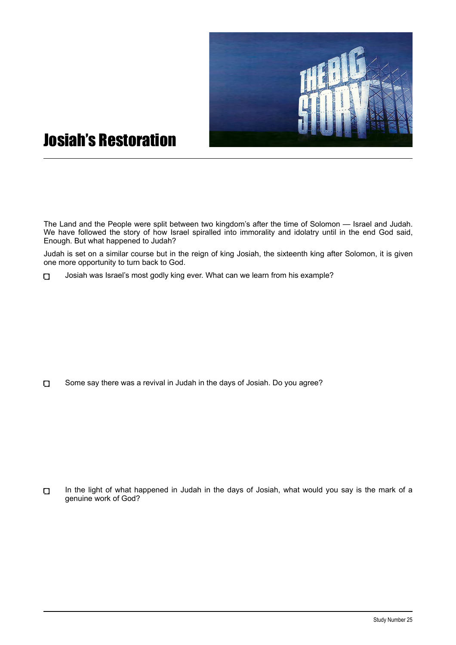

## Josiah's Restoration

The Land and the People were split between two kingdom's after the time of Solomon — Israel and Judah. We have followed the story of how Israel spiralled into immorality and idolatry until in the end God said, Enough. But what happened to Judah?

Judah is set on a similar course but in the reign of king Josiah, the sixteenth king after Solomon, it is given one more opportunity to turn back to God.

Josiah was Israel's most godly king ever. What can we learn from his example?  $\Box$ 

 $\Box$ Some say there was a revival in Judah in the days of Josiah. Do you agree?

 $\Box$ In the light of what happened in Judah in the days of Josiah, what would you say is the mark of a genuine work of God?